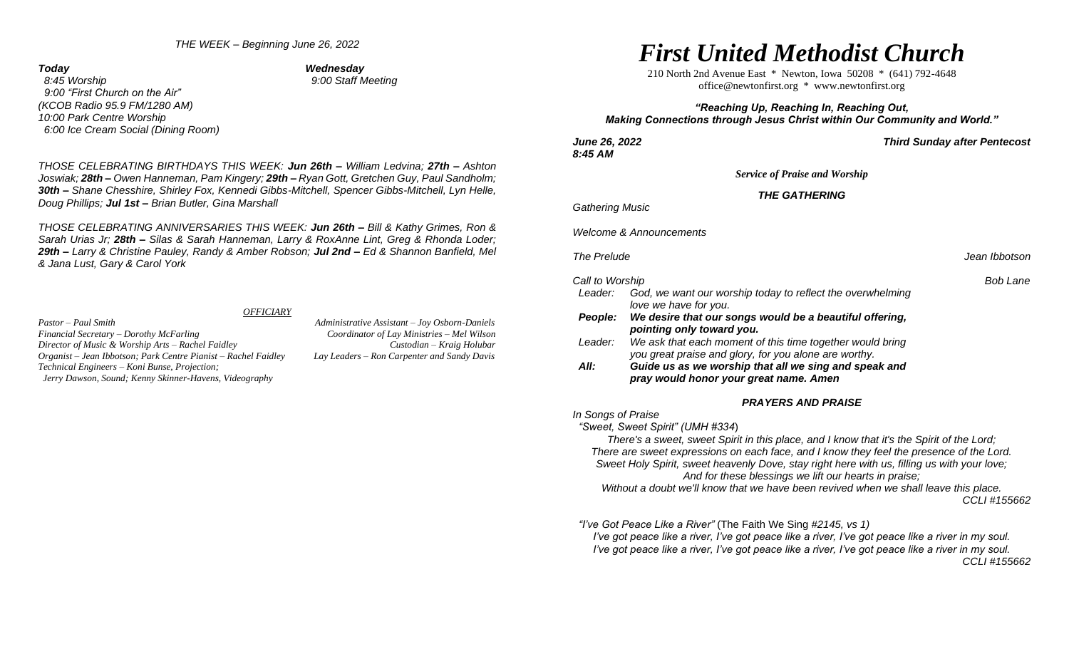### *THE WEEK – Beginning June 26, 2022*

*Today Wednesday* 

 *8:45 Worship 9:00 Staff Meeting 9:00 "First Church on the Air" (KCOB Radio 95.9 FM/1280 AM) 10:00 Park Centre Worship 6:00 Ice Cream Social (Dining Room)* 

*THOSE CELEBRATING BIRTHDAYS THIS WEEK: Jun 26th – William Ledvina; 27th – Ashton Joswiak; 28th – Owen Hanneman, Pam Kingery; 29th – Ryan Gott, Gretchen Guy, Paul Sandholm; 30th – Shane Chesshire, Shirley Fox, Kennedi Gibbs-Mitchell, Spencer Gibbs-Mitchell, Lyn Helle, Doug Phillips; Jul 1st – Brian Butler, Gina Marshall*

*THOSE CELEBRATING ANNIVERSARIES THIS WEEK: Jun 26th – Bill & Kathy Grimes, Ron & Sarah Urias Jr; 28th – Silas & Sarah Hanneman, Larry & RoxAnne Lint, Greg & Rhonda Loder; 29th – Larry & Christine Pauley, Randy & Amber Robson; Jul 2nd – Ed & Shannon Banfield, Mel & Jana Lust, Gary & Carol York*

#### *OFFICIARY*

*Pastor – Paul Smith Administrative Assistant – Joy Osborn-Daniels Financial Secretary – Dorothy McFarling Coordinator of Lay Ministries – Mel Wilson Director of Music & Worship Arts – Rachel Faidley Custodian – Kraig Holubar Organist – Jean Ibbotson; Park Centre Pianist – Rachel Faidley Lay Leaders – Ron Carpenter and Sandy Davis Technical Engineers – Koni Bunse, Projection; Jerry Dawson, Sound; Kenny Skinner-Havens, Videography*

# *First United Methodist Church*

210 North 2nd Avenue East \* Newton, Iowa 50208 \* (641) 792-4648 [office@newtonfirst.org](mailto:office@newtonfirst.org) \* [www.newtonfirst.org](http://www.newtonfirst.org/)

# *"Reaching Up, Reaching In, Reaching Out, Making Connections through Jesus Christ within Our Community and World."*

*8:45 AM* 

*June 26, 2022 Third Sunday after Pentecost* 

*Service of Praise and Worship*

# *THE GATHERING*

*Gathering Music* 

*Welcome & Announcements*

**The Prelude Jean Ibbotson** 

#### *Call to Worship Bob Lane*

| Leader:        | God, we want our worship today to reflect the overwhelming |
|----------------|------------------------------------------------------------|
|                | love we have for you.                                      |
| <b>People:</b> | We desire that our songs would be a beautiful offering,    |
|                | pointing only toward you.                                  |

Leader: We ask that each moment of this time together would bring *you great praise and glory, for you alone are worthy.* 

 *All: Guide us as we worship that all we sing and speak and pray would honor your great name. Amen* 

#### *PRAYERS AND PRAISE*

*In Songs of Praise*

 *"Sweet, Sweet Spirit" (UMH #334*)

*There's a sweet, sweet Spirit in this place, and I know that it's the Spirit of the Lord; There are sweet expressions on each face, and I know they feel the presence of the Lord. Sweet Holy Spirit, sweet heavenly Dove, stay right here with us, filling us with your love; And for these blessings we lift our hearts in praise;* 

*Without a doubt we'll know that we have been revived when we shall leave this place. CCLI #155662*

 *"I've Got Peace Like a River"* (The Faith We Sing *#2145, vs 1)*

*I've got peace like a river, I've got peace like a river, I've got peace like a river in my soul. I've got peace like a river, I've got peace like a river, I've got peace like a river in my soul. CCLI #155662*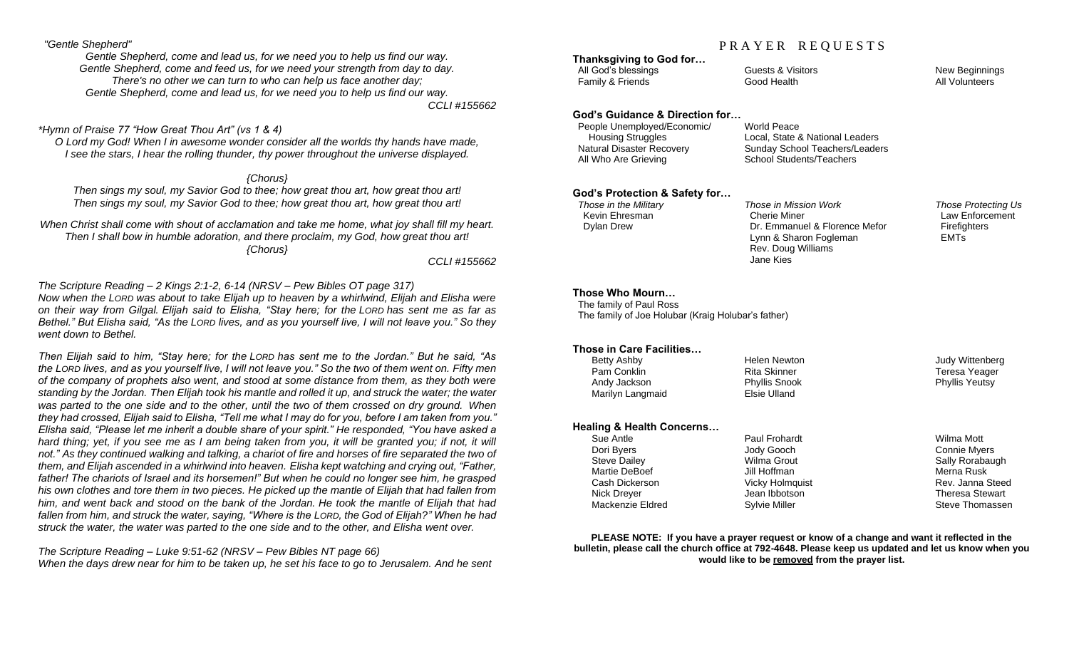## *"Gentle Shepherd"*

*Gentle Shepherd, come and lead us, for we need you to help us find our way. Gentle Shepherd, come and feed us, for we need your strength from day to day. There's no other we can turn to who can help us face another day; Gentle Shepherd, come and lead us, for we need you to help us find our way.*

*CCLI #155662*

# *\*Hymn of Praise 77 "How Great Thou Art" (vs 1 & 4)*

*O Lord my God! When I in awesome wonder consider all the worlds thy hands have made, I see the stars, I hear the rolling thunder, thy power throughout the universe displayed.*

*{Chorus}*

*Then sings my soul, my Savior God to thee; how great thou art, how great thou art! Then sings my soul, my Savior God to thee; how great thou art, how great thou art!*

*When Christ shall come with shout of acclamation and take me home, what joy shall fill my heart. Then I shall bow in humble adoration, and there proclaim, my God, how great thou art! {Chorus}*

*CCLI #155662*

*The Scripture Reading – 2 Kings 2:1-2, 6-14 (NRSV – Pew Bibles OT page 317) Now when the LORD was about to take Elijah up to heaven by a whirlwind, Elijah and Elisha were on their way from Gilgal. Elijah said to Elisha, "Stay here; for the LORD has sent me as far as Bethel." But Elisha said, "As the LORD lives, and as you yourself live, I will not leave you." So they went down to Bethel.*

*Then Elijah said to him, "Stay here; for the LORD has sent me to the Jordan." But he said, "As the LORD lives, and as you yourself live, I will not leave you." So the two of them went on. Fifty men of the company of prophets also went, and stood at some distance from them, as they both were standing by the Jordan. Then Elijah took his mantle and rolled it up, and struck the water; the water was parted to the one side and to the other, until the two of them crossed on dry ground. When they had crossed, Elijah said to Elisha, "Tell me what I may do for you, before I am taken from you." Elisha said, "Please let me inherit a double share of your spirit." He responded, "You have asked a hard thing; yet, if you see me as I am being taken from you, it will be granted you; if not, it will not." As they continued walking and talking, a chariot of fire and horses of fire separated the two of them, and Elijah ascended in a whirlwind into heaven. Elisha kept watching and crying out, "Father, father! The chariots of Israel and its horsemen!" But when he could no longer see him, he grasped his own clothes and tore them in two pieces. He picked up the mantle of Elijah that had fallen from him, and went back and stood on the bank of the Jordan. He took the mantle of Elijah that had fallen from him, and struck the water, saying, "Where is the LORD, the God of Elijah?" When he had struck the water, the water was parted to the one side and to the other, and Elisha went over.*

*The Scripture Reading – Luke 9:51-62 (NRSV – Pew Bibles NT page 66) When the days drew near for him to be taken up, he set his face to go to Jerusalem. And he sent*

# PRAYER REQUESTS

**Thanksgiving to God for…** All God's blessings The Guests & Visitors New Beginnings New Beginnings Family & Friends **Friends** Good Health **All Volunteers** All Volunteers

# **God's Guidance & Direction for…**

 People Unemployed/Economic/ World Peace Housing Struggles Local, State & National Leaders All Who Are Grieving School Students/Teachers

Sunday School Teachers/Leaders

# **God's Protection & Safety for…**

 *Those in the Military Those in Mission Work Those Protecting Us* Kevin Ehresman Cherie Miner Law Enforcement Dylan Drew Dr. Emmanuel & Florence Mefor Firefighters Lynn & Sharon Fogleman **EMTs**  Rev. Doug Williams Jane Kies

# **Those Who Mourn…**

 The family of Paul Ross The family of Joe Holubar (Kraig Holubar's father)

# **Those in Care Facilities…**

| Betty Ashby      | Helen Newton         | Judy Wittenberg       |
|------------------|----------------------|-----------------------|
| Pam Conklin      | Rita Skinner         | Teresa Yeager         |
| Andy Jackson     | <b>Phyllis Snook</b> | <b>Phyllis Yeutsy</b> |
| Marilyn Langmaid | Elsie Ulland         |                       |
|                  |                      |                       |

## **Healing & Health Concerns…**

| Sue Antle           | Paul Frohardt        | Wilma Mott          |
|---------------------|----------------------|---------------------|
| Dori Byers          | Jody Gooch           | <b>Connie Myers</b> |
| <b>Steve Dailey</b> | Wilma Grout          | Sally Rorabaugh     |
| Martie DeBoef       | Jill Hoffman         | Merna Rusk          |
| Cash Dickerson      | Vicky Holmquist      | Rev. Janna Steed    |
| Nick Dreyer         | Jean Ibbotson        | Theresa Stewart     |
| Mackenzie Eldred    | <b>Sylvie Miller</b> | Steve Thomassen     |
|                     |                      |                     |

**PLEASE NOTE: If you have a prayer request or know of a change and want it reflected in the bulletin, please call the church office at 792-4648. Please keep us updated and let us know when you would like to be removed from the prayer list.**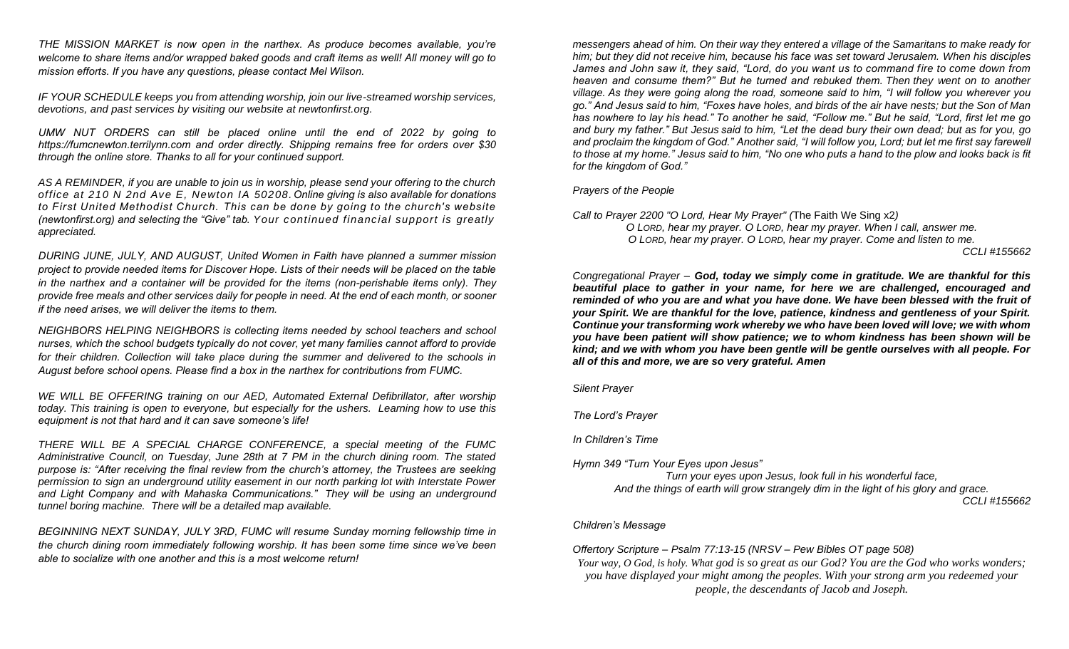*THE MISSION MARKET is now open in the narthex. As produce becomes available, you're welcome to share items and/or wrapped baked goods and craft items as well! All money will go to mission efforts. If you have any questions, please contact Mel Wilson.*

*IF YOUR SCHEDULE keeps you from attending worship, join our live-streamed worship services, devotions, and past services by visiting our website at newtonfirst.org.* 

*UMW NUT ORDERS can still be placed online until the end of 2022 by going to [https://fumcnewton.terrilynn.com](https://fumcnewton.terrilynn.com/) and order directly. Shipping remains free for orders over \$30 through the online store. Thanks to all for your continued support.*

*AS A REMINDER, if you are unable to join us in worship, please send your offering to the church office at 210 N 2nd Ave E, Newton IA 50208.Online giving is also available for donations to First United Methodist Church. This can be done by going to the church's website (newtonfirst.org) and selecting the "Give" tab. Your continued financial support is greatly appreciated.*

*DURING JUNE, JULY, AND AUGUST, United Women in Faith have planned a summer mission project to provide needed items for Discover Hope. Lists of their needs will be placed on the table in the narthex and a container will be provided for the items (non-perishable items only). They provide free meals and other services daily for people in need. At the end of each month, or sooner if the need arises, we will deliver the items to them.* 

*NEIGHBORS HELPING NEIGHBORS is collecting items needed by school teachers and school nurses, which the school budgets typically do not cover, yet many families cannot afford to provide for their children. Collection will take place during the summer and delivered to the schools in August before school opens. Please find a box in the narthex for contributions from FUMC.* 

*WE WILL BE OFFERING training on our AED, Automated External Defibrillator, after worship today. This training is open to everyone, but especially for the ushers. Learning how to use this equipment is not that hard and it can save someone's life!*

*THERE WILL BE A SPECIAL CHARGE CONFERENCE, a special meeting of the FUMC Administrative Council, on Tuesday, June 28th at 7 PM in the church dining room. The stated purpose is: "After receiving the final review from the church's attorney, the Trustees are seeking permission to sign an underground utility easement in our north parking lot with Interstate Power and Light Company and with Mahaska Communications." They will be using an underground tunnel boring machine. There will be a detailed map available.*

*BEGINNING NEXT SUNDAY, JULY 3RD, FUMC will resume Sunday morning fellowship time in the church dining room immediately following worship. It has been some time since we've been able to socialize with one another and this is a most welcome return!*

*messengers ahead of him. On their way they entered a village of the Samaritans to make ready for him; but they did not receive him, because his face was set toward Jerusalem. When his disciples James and John saw it, they said, "Lord, do you want us to command fire to come down from heaven and consume them?" But he turned and rebuked them. Then they went on to another village. As they were going along the road, someone said to him, "I will follow you wherever you go." And Jesus said to him, "Foxes have holes, and birds of the air have nests; but the Son of Man has nowhere to lay his head." To another he said, "Follow me." But he said, "Lord, first let me go and bury my father." But Jesus said to him, "Let the dead bury their own dead; but as for you, go and proclaim the kingdom of God." Another said, "I will follow you, Lord; but let me first say farewell to those at my home." Jesus said to him, "No one who puts a hand to the plow and looks back is fit for the kingdom of God."*

# *Prayers of the People*

*Call to Prayer 2200 "O Lord, Hear My Prayer" (*The Faith We Sing x2*) O LORD, hear my prayer. O LORD, hear my prayer. When I call, answer me. O LORD, hear my prayer. O LORD, hear my prayer. Come and listen to me. CCLI #155662*

*Congregational Prayer – God, today we simply come in gratitude. We are thankful for this beautiful place to gather in your name, for here we are challenged, encouraged and reminded of who you are and what you have done. We have been blessed with the fruit of your Spirit. We are thankful for the love, patience, kindness and gentleness of your Spirit. Continue your transforming work whereby we who have been loved will love; we with whom you have been patient will show patience; we to whom kindness has been shown will be kind; and we with whom you have been gentle will be gentle ourselves with all people. For all of this and more, we are so very grateful. Amen*

*Silent Prayer*

*The Lord's Prayer*

*In Children's Time* 

*Hymn 349 "Turn Your Eyes upon Jesus"*

*Turn your eyes upon Jesus, look full in his wonderful face, And the things of earth will grow strangely dim in the light of his glory and grace.* 

*CCLI #155662*

# *Children's Message*

*Offertory Scripture – Psalm 77:13-15 (NRSV – Pew Bibles OT page 508)*

*Your way, O God, is holy. What god is so great as our God? You are the God who works wonders; you have displayed your might among the peoples. With your strong arm you redeemed your people, the descendants of Jacob and Joseph.*